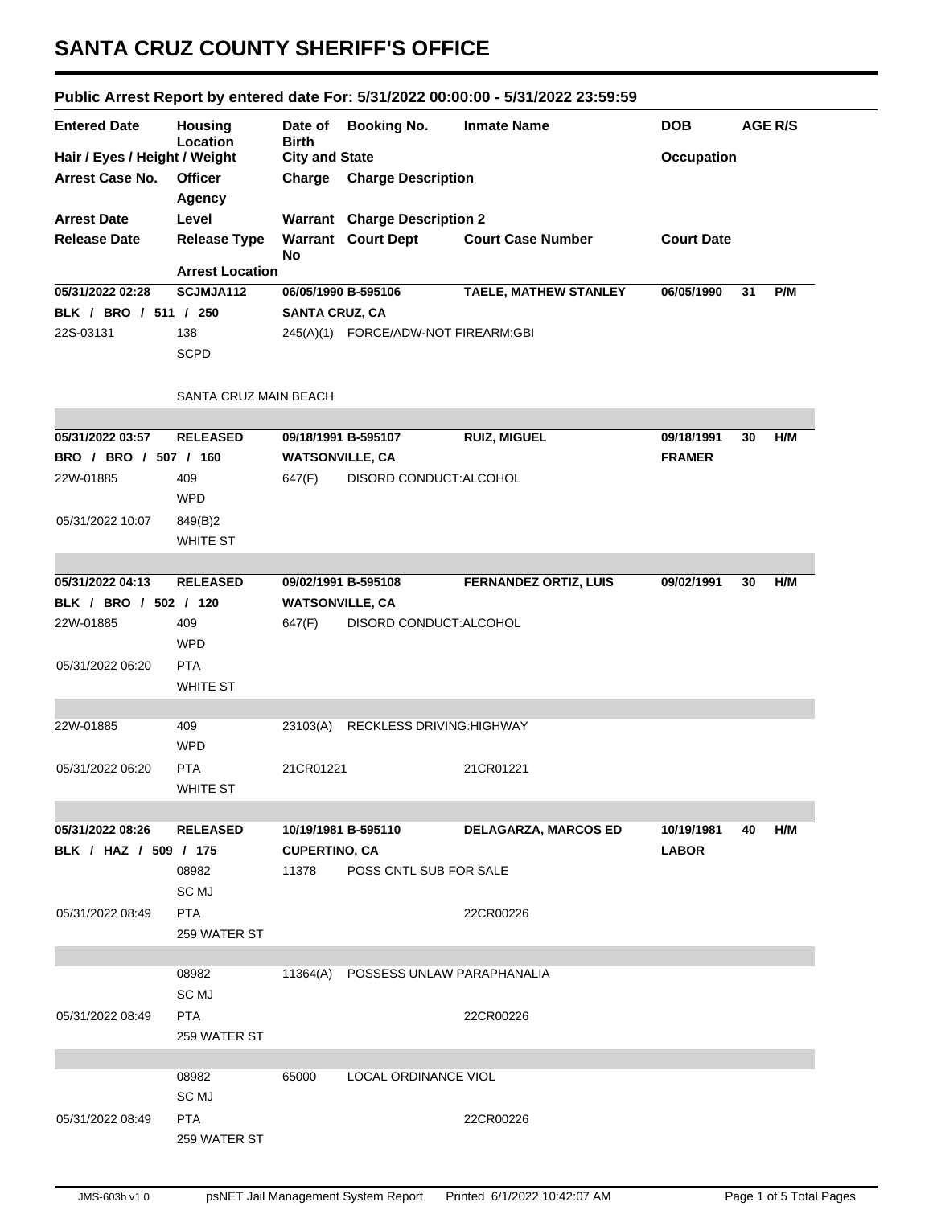## **SANTA CRUZ COUNTY SHERIFF'S OFFICE**

|                               |                                               |                         |                                     | Public Arrest Report by entered date For: 5/31/2022 00:00:00 - 5/31/2022 23:59:59 |                   |    |                |
|-------------------------------|-----------------------------------------------|-------------------------|-------------------------------------|-----------------------------------------------------------------------------------|-------------------|----|----------------|
| <b>Entered Date</b>           | <b>Housing</b><br>Location                    | Date of<br><b>Birth</b> | <b>Booking No.</b>                  | <b>Inmate Name</b>                                                                | <b>DOB</b>        |    | <b>AGE R/S</b> |
| Hair / Eyes / Height / Weight |                                               | <b>City and State</b>   |                                     |                                                                                   | <b>Occupation</b> |    |                |
| Arrest Case No.               | <b>Officer</b>                                | Charge                  | <b>Charge Description</b>           |                                                                                   |                   |    |                |
|                               | <b>Agency</b>                                 |                         |                                     |                                                                                   |                   |    |                |
| <b>Arrest Date</b>            | Level                                         |                         | <b>Warrant</b> Charge Description 2 |                                                                                   |                   |    |                |
| <b>Release Date</b>           | <b>Release Type</b><br><b>Arrest Location</b> | No                      | <b>Warrant</b> Court Dept           | <b>Court Case Number</b>                                                          | <b>Court Date</b> |    |                |
| 05/31/2022 02:28              | SCJMJA112                                     |                         | 06/05/1990 B-595106                 | <b>TAELE, MATHEW STANLEY</b>                                                      | 06/05/1990        | 31 | P/M            |
| BLK / BRO / 511 / 250         |                                               | <b>SANTA CRUZ, CA</b>   |                                     |                                                                                   |                   |    |                |
| 22S-03131                     | 138                                           |                         | 245(A)(1) FORCE/ADW-NOT FIREARM:GBI |                                                                                   |                   |    |                |
|                               | <b>SCPD</b>                                   |                         |                                     |                                                                                   |                   |    |                |
|                               |                                               |                         |                                     |                                                                                   |                   |    |                |
|                               | SANTA CRUZ MAIN BEACH                         |                         |                                     |                                                                                   |                   |    |                |
| 05/31/2022 03:57              | <b>RELEASED</b>                               |                         |                                     | <b>RUIZ, MIGUEL</b>                                                               | 09/18/1991        | 30 | H/M            |
| BRO / BRO / 507 / 160         |                                               | <b>WATSONVILLE, CA</b>  | 09/18/1991 B-595107                 |                                                                                   | <b>FRAMER</b>     |    |                |
| 22W-01885                     | 409                                           | 647(F)                  | DISORD CONDUCT: ALCOHOL             |                                                                                   |                   |    |                |
|                               | <b>WPD</b>                                    |                         |                                     |                                                                                   |                   |    |                |
|                               |                                               |                         |                                     |                                                                                   |                   |    |                |
| 05/31/2022 10:07              | 849(B)2                                       |                         |                                     |                                                                                   |                   |    |                |
|                               | <b>WHITE ST</b>                               |                         |                                     |                                                                                   |                   |    |                |
| 05/31/2022 04:13              | <b>RELEASED</b>                               |                         | 09/02/1991 B-595108                 | <b>FERNANDEZ ORTIZ, LUIS</b>                                                      | 09/02/1991        | 30 | H/M            |
| BLK / BRO / 502 / 120         |                                               | <b>WATSONVILLE, CA</b>  |                                     |                                                                                   |                   |    |                |
| 22W-01885                     | 409                                           | 647(F)                  | DISORD CONDUCT: ALCOHOL             |                                                                                   |                   |    |                |
|                               | <b>WPD</b>                                    |                         |                                     |                                                                                   |                   |    |                |
| 05/31/2022 06:20              | <b>PTA</b>                                    |                         |                                     |                                                                                   |                   |    |                |
|                               | <b>WHITE ST</b>                               |                         |                                     |                                                                                   |                   |    |                |
|                               |                                               |                         |                                     |                                                                                   |                   |    |                |
| 22W-01885                     | 409                                           | 23103(A)                | <b>RECKLESS DRIVING: HIGHWAY</b>    |                                                                                   |                   |    |                |
|                               | <b>WPD</b>                                    |                         |                                     |                                                                                   |                   |    |                |
| 05/31/2022 06:20              | <b>PTA</b>                                    | 21CR01221               |                                     | 21CR01221                                                                         |                   |    |                |
|                               | WHITE ST                                      |                         |                                     |                                                                                   |                   |    |                |
|                               |                                               |                         |                                     |                                                                                   |                   |    |                |
| 05/31/2022 08:26              | <b>RELEASED</b>                               |                         | 10/19/1981 B-595110                 | <b>DELAGARZA, MARCOS ED</b>                                                       | 10/19/1981        | 40 | H/M            |
| BLK / HAZ / 509 / 175         |                                               | <b>CUPERTINO, CA</b>    |                                     |                                                                                   | <b>LABOR</b>      |    |                |
|                               | 08982                                         | 11378                   | POSS CNTL SUB FOR SALE              |                                                                                   |                   |    |                |
|                               | SC MJ                                         |                         |                                     |                                                                                   |                   |    |                |
| 05/31/2022 08:49              | <b>PTA</b>                                    |                         |                                     | 22CR00226                                                                         |                   |    |                |
|                               | 259 WATER ST                                  |                         |                                     |                                                                                   |                   |    |                |
|                               |                                               |                         |                                     |                                                                                   |                   |    |                |
|                               | 08982                                         | 11364(A)                | POSSESS UNLAW PARAPHANALIA          |                                                                                   |                   |    |                |
|                               | SC MJ                                         |                         |                                     |                                                                                   |                   |    |                |
| 05/31/2022 08:49              | <b>PTA</b>                                    |                         |                                     | 22CR00226                                                                         |                   |    |                |
|                               | 259 WATER ST                                  |                         |                                     |                                                                                   |                   |    |                |
|                               |                                               |                         |                                     |                                                                                   |                   |    |                |
|                               | 08982                                         | 65000                   | LOCAL ORDINANCE VIOL                |                                                                                   |                   |    |                |
|                               | SC MJ                                         |                         |                                     |                                                                                   |                   |    |                |
| 05/31/2022 08:49              | <b>PTA</b>                                    |                         |                                     | 22CR00226                                                                         |                   |    |                |
|                               | 259 WATER ST                                  |                         |                                     |                                                                                   |                   |    |                |
|                               |                                               |                         |                                     |                                                                                   |                   |    |                |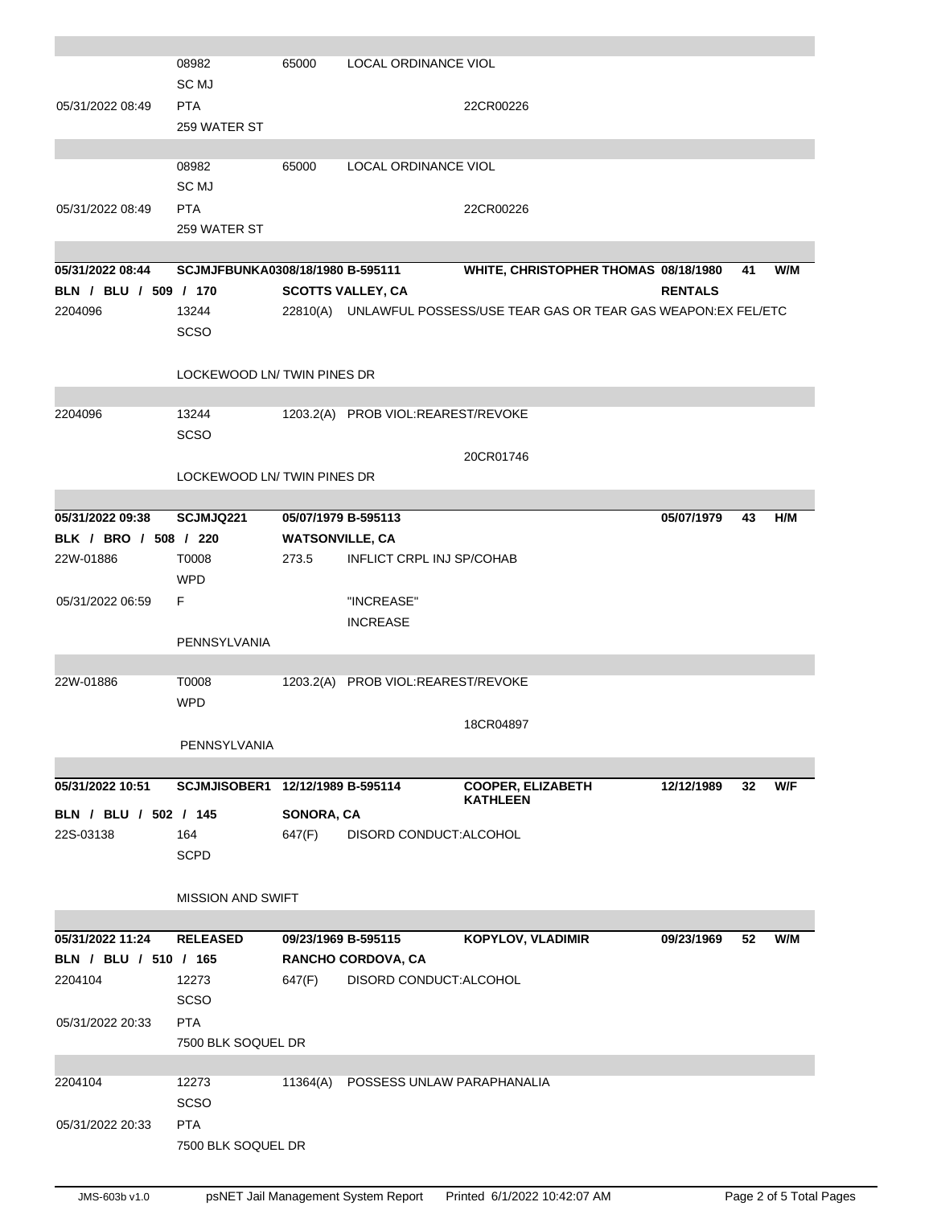|                       | 08982                            | 65000                  | LOCAL ORDINANCE VIOL               |                                                                       |                |    |     |
|-----------------------|----------------------------------|------------------------|------------------------------------|-----------------------------------------------------------------------|----------------|----|-----|
|                       | SC MJ                            |                        |                                    |                                                                       |                |    |     |
| 05/31/2022 08:49      | <b>PTA</b>                       |                        |                                    | 22CR00226                                                             |                |    |     |
|                       | 259 WATER ST                     |                        |                                    |                                                                       |                |    |     |
|                       |                                  |                        |                                    |                                                                       |                |    |     |
|                       | 08982                            | 65000                  | LOCAL ORDINANCE VIOL               |                                                                       |                |    |     |
|                       | SC <sub>MJ</sub>                 |                        |                                    |                                                                       |                |    |     |
| 05/31/2022 08:49      | <b>PTA</b>                       |                        |                                    | 22CR00226                                                             |                |    |     |
|                       | 259 WATER ST                     |                        |                                    |                                                                       |                |    |     |
|                       |                                  |                        |                                    |                                                                       |                |    |     |
| 05/31/2022 08:44      | SCJMJFBUNKA0308/18/1980 B-595111 |                        |                                    | WHITE, CHRISTOPHER THOMAS 08/18/1980                                  |                | 41 | W/M |
| BLN / BLU / 509 / 170 |                                  |                        | <b>SCOTTS VALLEY, CA</b>           |                                                                       | <b>RENTALS</b> |    |     |
| 2204096               | 13244                            |                        |                                    | 22810(A) UNLAWFUL POSSESS/USE TEAR GAS OR TEAR GAS WEAPON: EX FEL/ETC |                |    |     |
|                       | SCSO                             |                        |                                    |                                                                       |                |    |     |
|                       |                                  |                        |                                    |                                                                       |                |    |     |
|                       | LOCKEWOOD LN/TWIN PINES DR       |                        |                                    |                                                                       |                |    |     |
|                       |                                  |                        |                                    |                                                                       |                |    |     |
| 2204096               | 13244                            |                        | 1203.2(A) PROB VIOL:REAREST/REVOKE |                                                                       |                |    |     |
|                       | <b>SCSO</b>                      |                        |                                    |                                                                       |                |    |     |
|                       |                                  |                        |                                    | 20CR01746                                                             |                |    |     |
|                       | LOCKEWOOD LN/ TWIN PINES DR      |                        |                                    |                                                                       |                |    |     |
|                       |                                  |                        |                                    |                                                                       |                |    |     |
| 05/31/2022 09:38      | <b>SCJMJQ221</b>                 |                        | 05/07/1979 B-595113                |                                                                       | 05/07/1979     | 43 | H/M |
| BLK / BRO / 508 / 220 |                                  | <b>WATSONVILLE, CA</b> |                                    |                                                                       |                |    |     |
| 22W-01886             | T0008                            | 273.5                  | <b>INFLICT CRPL INJ SP/COHAB</b>   |                                                                       |                |    |     |
|                       | <b>WPD</b>                       |                        |                                    |                                                                       |                |    |     |
| 05/31/2022 06:59      | F                                |                        | "INCREASE"                         |                                                                       |                |    |     |
|                       |                                  |                        | <b>INCREASE</b>                    |                                                                       |                |    |     |
|                       | PENNSYLVANIA                     |                        |                                    |                                                                       |                |    |     |
|                       | T0008                            |                        | 1203.2(A) PROB VIOL:REAREST/REVOKE |                                                                       |                |    |     |
| 22W-01886             | <b>WPD</b>                       |                        |                                    |                                                                       |                |    |     |
|                       |                                  |                        |                                    |                                                                       |                |    |     |
|                       |                                  |                        |                                    | 18CR04897                                                             |                |    |     |
|                       | PENNSYLVANIA                     |                        |                                    |                                                                       |                |    |     |
| 05/31/2022 10:51      | SCJMJISOBER1 12/12/1989 B-595114 |                        |                                    | <b>COOPER, ELIZABETH</b>                                              | 12/12/1989     | 32 | W/F |
|                       |                                  |                        |                                    | <b>KATHLEEN</b>                                                       |                |    |     |
| BLN / BLU / 502 / 145 |                                  | SONORA, CA             |                                    |                                                                       |                |    |     |
| 22S-03138             | 164                              | 647(F)                 | DISORD CONDUCT: ALCOHOL            |                                                                       |                |    |     |
|                       | <b>SCPD</b>                      |                        |                                    |                                                                       |                |    |     |
|                       |                                  |                        |                                    |                                                                       |                |    |     |
|                       | <b>MISSION AND SWIFT</b>         |                        |                                    |                                                                       |                |    |     |
|                       |                                  |                        |                                    |                                                                       |                |    |     |
| 05/31/2022 11:24      | <b>RELEASED</b>                  |                        | 09/23/1969 B-595115                | <b>KOPYLOV, VLADIMIR</b>                                              | 09/23/1969     | 52 | W/M |
| BLN / BLU / 510 / 165 |                                  |                        | RANCHO CORDOVA, CA                 |                                                                       |                |    |     |
| 2204104               | 12273                            | 647(F)                 | DISORD CONDUCT: ALCOHOL            |                                                                       |                |    |     |
|                       | SCSO                             |                        |                                    |                                                                       |                |    |     |
| 05/31/2022 20:33      | <b>PTA</b>                       |                        |                                    |                                                                       |                |    |     |
|                       | 7500 BLK SOQUEL DR               |                        |                                    |                                                                       |                |    |     |
|                       |                                  |                        |                                    |                                                                       |                |    |     |
| 2204104               | 12273                            | 11364(A)               | POSSESS UNLAW PARAPHANALIA         |                                                                       |                |    |     |
|                       | <b>SCSO</b>                      |                        |                                    |                                                                       |                |    |     |
| 05/31/2022 20:33      | <b>PTA</b>                       |                        |                                    |                                                                       |                |    |     |
|                       | 7500 BLK SOQUEL DR               |                        |                                    |                                                                       |                |    |     |
|                       |                                  |                        |                                    |                                                                       |                |    |     |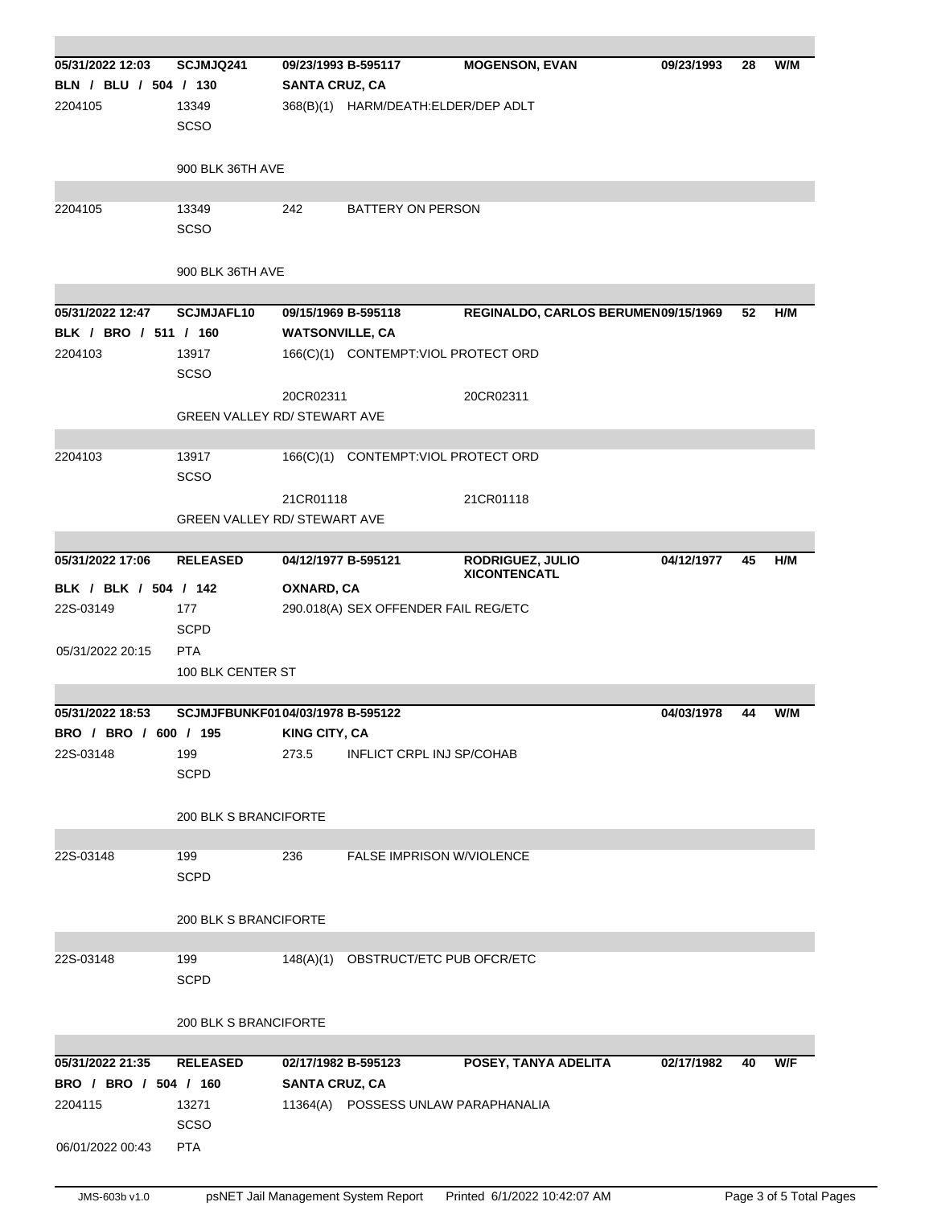| 05/31/2022 12:03<br>BLN / BLU / 504 / 130<br>2204105                     | SCJMJQ241<br>13349<br>SCSO<br>900 BLK 36TH AVE        | <b>SANTA CRUZ, CA</b>  | 09/23/1993 B-595117<br>368(B)(1) HARM/DEATH:ELDER/DEP ADLT | <b>MOGENSON, EVAN</b>                   | 09/23/1993 | 28 | W/M |
|--------------------------------------------------------------------------|-------------------------------------------------------|------------------------|------------------------------------------------------------|-----------------------------------------|------------|----|-----|
| 2204105                                                                  | 13349<br>SCSO                                         | 242                    | <b>BATTERY ON PERSON</b>                                   |                                         |            |    |     |
|                                                                          | 900 BLK 36TH AVE                                      |                        |                                                            |                                         |            |    |     |
| 05/31/2022 12:47<br>BLK / BRO / 511 / 160                                | <b>SCJMJAFL10</b>                                     | <b>WATSONVILLE, CA</b> | 09/15/1969 B-595118                                        | REGINALDO, CARLOS BERUMEN09/15/1969     |            | 52 | H/M |
| 2204103                                                                  | 13917<br><b>SCSO</b>                                  |                        | 166(C)(1) CONTEMPT:VIOL PROTECT ORD                        |                                         |            |    |     |
|                                                                          | <b>GREEN VALLEY RD/ STEWART AVE</b>                   | 20CR02311              |                                                            | 20CR02311                               |            |    |     |
| 2204103                                                                  | 13917<br><b>SCSO</b>                                  |                        | 166(C)(1) CONTEMPT: VIOL PROTECT ORD                       |                                         |            |    |     |
|                                                                          | <b>GREEN VALLEY RD/ STEWART AVE</b>                   | 21CR01118              |                                                            | 21CR01118                               |            |    |     |
|                                                                          |                                                       |                        |                                                            |                                         |            |    |     |
| 05/31/2022 17:06<br>BLK / BLK / 504 / 142                                | <b>RELEASED</b>                                       | OXNARD, CA             | 04/12/1977 B-595121                                        | RODRIGUEZ, JULIO<br><b>XICONTENCATL</b> | 04/12/1977 | 45 | H/M |
| 22S-03149                                                                | 177<br><b>SCPD</b>                                    |                        | 290.018(A) SEX OFFENDER FAIL REG/ETC                       |                                         |            |    |     |
| 05/31/2022 20:15                                                         | <b>PTA</b><br>100 BLK CENTER ST                       |                        |                                                            |                                         |            |    |     |
|                                                                          |                                                       |                        |                                                            |                                         |            |    |     |
| 05/31/2022 18:53<br>BRO / BRO / 600 / 195                                | SCJMJFBUNKF0104/03/1978 B-595122                      | <b>KING CITY, CA</b>   |                                                            |                                         | 04/03/1978 | 44 | W/M |
| 22S-03148                                                                | 199<br><b>SCPD</b>                                    | 273.5                  | INFLICT CRPL INJ SP/COHAB                                  |                                         |            |    |     |
|                                                                          | 200 BLK S BRANCIFORTE                                 |                        |                                                            |                                         |            |    |     |
| 22S-03148                                                                | 199<br><b>SCPD</b>                                    | 236                    | FALSE IMPRISON W/VIOLENCE                                  |                                         |            |    |     |
|                                                                          | 200 BLK S BRANCIFORTE                                 |                        |                                                            |                                         |            |    |     |
| 22S-03148                                                                | 199<br><b>SCPD</b>                                    |                        | 148(A)(1) OBSTRUCT/ETC PUB OFCR/ETC                        |                                         |            |    |     |
|                                                                          | 200 BLK S BRANCIFORTE                                 |                        |                                                            |                                         |            |    |     |
| 05/31/2022 21:35<br>BRO / BRO / 504 / 160<br>2204115<br>06/01/2022 00:43 | <b>RELEASED</b><br>13271<br><b>SCSO</b><br><b>PTA</b> | <b>SANTA CRUZ, CA</b>  | 02/17/1982 B-595123<br>11364(A) POSSESS UNLAW PARAPHANALIA | POSEY, TANYA ADELITA                    | 02/17/1982 | 40 | W/F |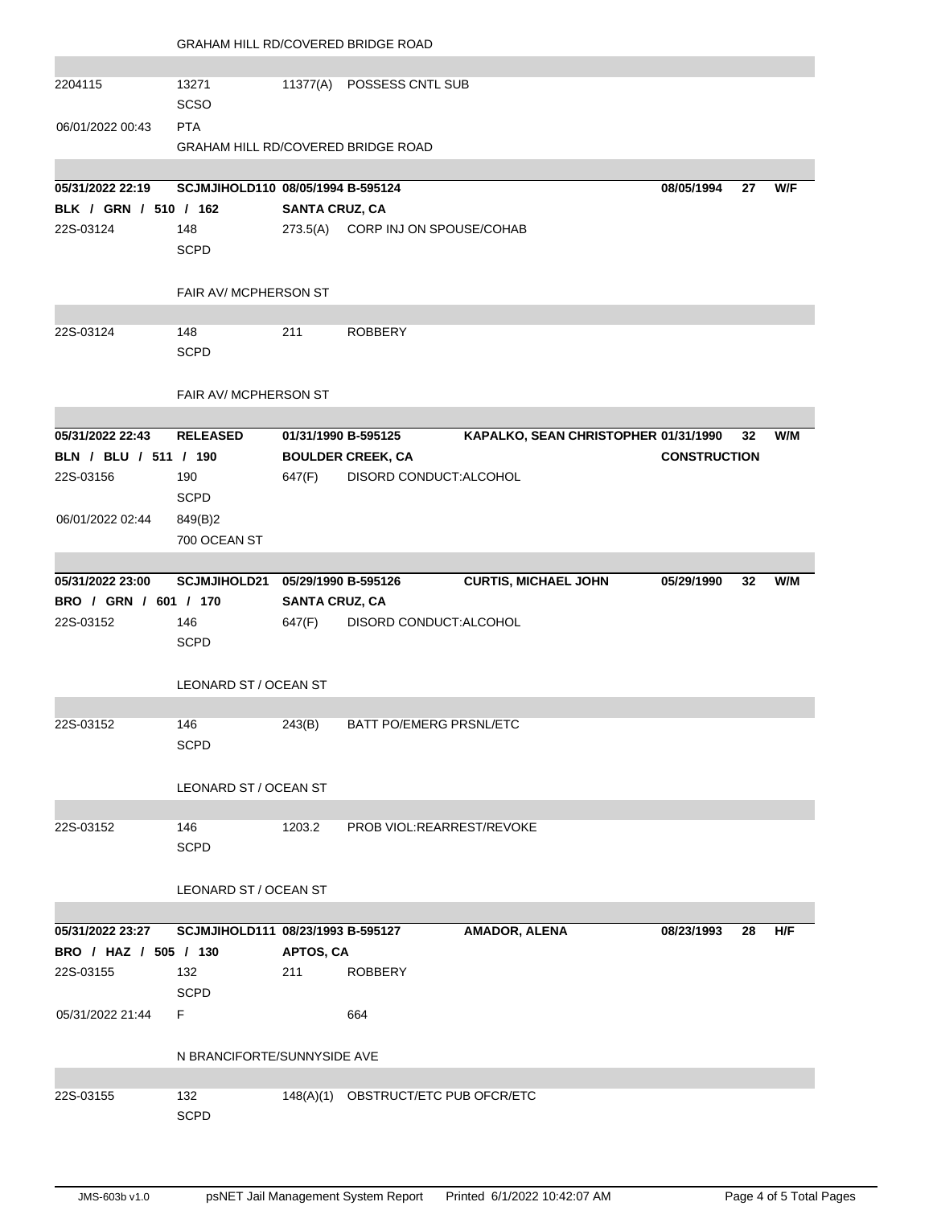|                       |                                           | <b>GRAHAM HILL RD/COVERED BRIDGE ROAD</b> |                                     |                                      |                     |    |     |  |  |
|-----------------------|-------------------------------------------|-------------------------------------------|-------------------------------------|--------------------------------------|---------------------|----|-----|--|--|
|                       |                                           |                                           |                                     |                                      |                     |    |     |  |  |
| 2204115               | 13271<br><b>SCSO</b>                      |                                           | 11377(A) POSSESS CNTL SUB           |                                      |                     |    |     |  |  |
| 06/01/2022 00:43      | <b>PTA</b>                                |                                           |                                     |                                      |                     |    |     |  |  |
|                       | <b>GRAHAM HILL RD/COVERED BRIDGE ROAD</b> |                                           |                                     |                                      |                     |    |     |  |  |
|                       |                                           |                                           |                                     |                                      |                     |    |     |  |  |
| 05/31/2022 22:19      | SCJMJIHOLD110 08/05/1994 B-595124         |                                           |                                     |                                      | 08/05/1994          | 27 | W/F |  |  |
| BLK / GRN / 510 / 162 |                                           | <b>SANTA CRUZ, CA</b>                     |                                     |                                      |                     |    |     |  |  |
| 22S-03124             | 148                                       |                                           | 273.5(A) CORP INJ ON SPOUSE/COHAB   |                                      |                     |    |     |  |  |
|                       | <b>SCPD</b>                               |                                           |                                     |                                      |                     |    |     |  |  |
|                       | FAIR AV/ MCPHERSON ST                     |                                           |                                     |                                      |                     |    |     |  |  |
| 22S-03124             | 148                                       | 211                                       | <b>ROBBERY</b>                      |                                      |                     |    |     |  |  |
|                       | <b>SCPD</b>                               |                                           |                                     |                                      |                     |    |     |  |  |
|                       | FAIR AV/ MCPHERSON ST                     |                                           |                                     |                                      |                     |    |     |  |  |
|                       |                                           |                                           |                                     |                                      |                     |    |     |  |  |
| 05/31/2022 22:43      | <b>RELEASED</b>                           | 01/31/1990 B-595125                       |                                     | KAPALKO, SEAN CHRISTOPHER 01/31/1990 |                     | 32 | W/M |  |  |
| BLN / BLU / 511 / 190 |                                           |                                           | <b>BOULDER CREEK, CA</b>            |                                      | <b>CONSTRUCTION</b> |    |     |  |  |
| 22S-03156             | 190                                       | 647(F)                                    | DISORD CONDUCT: ALCOHOL             |                                      |                     |    |     |  |  |
|                       | <b>SCPD</b>                               |                                           |                                     |                                      |                     |    |     |  |  |
| 06/01/2022 02:44      | 849(B)2                                   |                                           |                                     |                                      |                     |    |     |  |  |
|                       | 700 OCEAN ST                              |                                           |                                     |                                      |                     |    |     |  |  |
| 05/31/2022 23:00      | SCJMJIHOLD21 05/29/1990 B-595126          |                                           |                                     | <b>CURTIS, MICHAEL JOHN</b>          | 05/29/1990          | 32 | W/M |  |  |
| BRO / GRN / 601 / 170 |                                           | <b>SANTA CRUZ, CA</b>                     |                                     |                                      |                     |    |     |  |  |
| 22S-03152             | 146                                       | 647(F)                                    | DISORD CONDUCT: ALCOHOL             |                                      |                     |    |     |  |  |
|                       | <b>SCPD</b>                               |                                           |                                     |                                      |                     |    |     |  |  |
|                       |                                           |                                           |                                     |                                      |                     |    |     |  |  |
|                       | LEONARD ST / OCEAN ST                     |                                           |                                     |                                      |                     |    |     |  |  |
| 22S-03152             | 146                                       | 243(B)                                    | BATT PO/EMERG PRSNL/ETC             |                                      |                     |    |     |  |  |
|                       | <b>SCPD</b>                               |                                           |                                     |                                      |                     |    |     |  |  |
|                       |                                           |                                           |                                     |                                      |                     |    |     |  |  |
|                       | LEONARD ST / OCEAN ST                     |                                           |                                     |                                      |                     |    |     |  |  |
|                       |                                           |                                           |                                     |                                      |                     |    |     |  |  |
| 22S-03152             | 146                                       | 1203.2                                    | PROB VIOL:REARREST/REVOKE           |                                      |                     |    |     |  |  |
|                       | <b>SCPD</b>                               |                                           |                                     |                                      |                     |    |     |  |  |
|                       |                                           |                                           |                                     |                                      |                     |    |     |  |  |
|                       | LEONARD ST / OCEAN ST                     |                                           |                                     |                                      |                     |    |     |  |  |
|                       |                                           |                                           |                                     |                                      |                     |    |     |  |  |
| 05/31/2022 23:27      | SCJMJIHOLD111 08/23/1993 B-595127         |                                           |                                     | AMADOR, ALENA                        | 08/23/1993          | 28 | H/F |  |  |
| BRO / HAZ / 505 / 130 |                                           | APTOS, CA                                 |                                     |                                      |                     |    |     |  |  |
| 22S-03155             | 132                                       | 211                                       | <b>ROBBERY</b>                      |                                      |                     |    |     |  |  |
|                       | <b>SCPD</b>                               |                                           |                                     |                                      |                     |    |     |  |  |
| 05/31/2022 21:44      | F                                         |                                           | 664                                 |                                      |                     |    |     |  |  |
|                       | N BRANCIFORTE/SUNNYSIDE AVE               |                                           |                                     |                                      |                     |    |     |  |  |
| 22S-03155             | 132                                       |                                           | 148(A)(1) OBSTRUCT/ETC PUB OFCR/ETC |                                      |                     |    |     |  |  |
|                       | <b>SCPD</b>                               |                                           |                                     |                                      |                     |    |     |  |  |
|                       |                                           |                                           |                                     |                                      |                     |    |     |  |  |